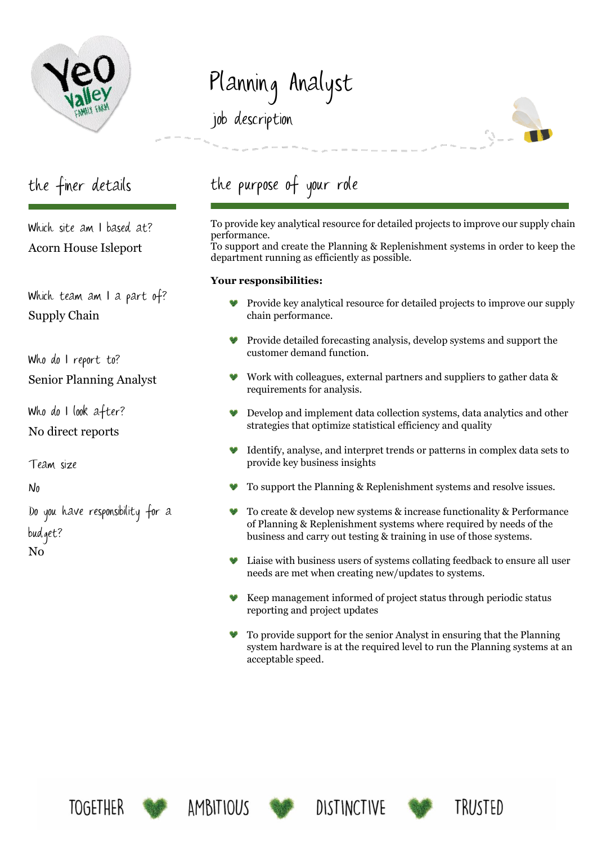

# Planning Analyst job description



Which site am I based at? Acorn House Isleport

Which team am I a part of? Supply Chain

Who do I report to? Senior Planning Analyst

Who do I look after? No direct reports

Team size

No

Do you have responsibility for a budget? No

# the purpose of your role

To provide key analytical resource for detailed projects to improve our supply chain performance.

To support and create the Planning & Replenishment systems in order to keep the department running as efficiently as possible.

#### **Your responsibilities:**

- Provide key analytical resource for detailed projects to improve our supply chain performance.
- Provide detailed forecasting analysis, develop systems and support the customer demand function.
- Work with colleagues, external partners and suppliers to gather data & requirements for analysis.
- Develop and implement data collection systems, data analytics and other strategies that optimize statistical efficiency and quality
- Identify, analyse, and interpret trends or patterns in complex data sets to provide key business insights
- To support the Planning & Replenishment systems and resolve issues.
- To create & develop new systems & increase functionality & Performance of Planning & Replenishment systems where required by needs of the business and carry out testing & training in use of those systems.
- Liaise with business users of systems collating feedback to ensure all user needs are met when creating new/updates to systems.
- Keep management informed of project status through periodic status reporting and project updates
- To provide support for the senior Analyst in ensuring that the Planning system hardware is at the required level to run the Planning systems at an acceptable speed.











TRIJSTED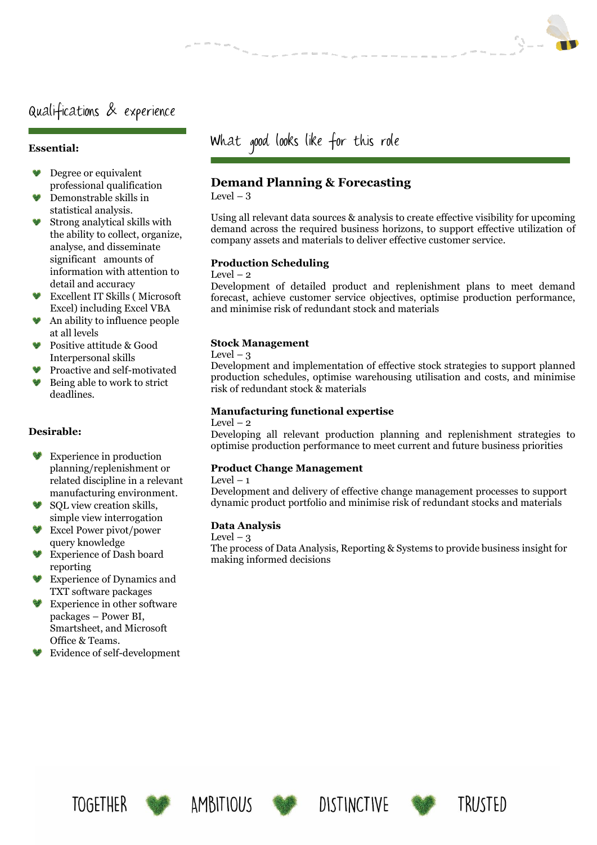### Qualifications & experience

#### **Essential:**

- Degree or equivalent professional qualification
- Demonstrable skills in statistical analysis.
- Strong analytical skills with the ability to collect, organize, analyse, and disseminate significant amounts of information with attention to detail and accuracy
- Excellent IT Skills ( Microsoft Excel) including Excel VBA
- An ability to influence people at all levels
- Positive attitude & Good Interpersonal skills
- Proactive and self-motivated
- Being able to work to strict deadlines.

#### **Desirable:**

- Experience in production planning/replenishment or related discipline in a relevant manufacturing environment.
- SQL view creation skills, simple view interrogation
- Excel Power pivot/power query knowledge
- Experience of Dash board reporting
- Experience of Dynamics and TXT software packages
- Experience in other software packages – Power BI, Smartsheet, and Microsoft Office & Teams.
- Evidence of self-development

# What good looks like for this role

#### **Demand Planning & Forecasting**

Level – 3

Using all relevant data sources & analysis to create effective visibility for upcoming demand across the required business horizons, to support effective utilization of company assets and materials to deliver effective customer service.

#### **Production Scheduling**

Level  $-2$ 

Development of detailed product and replenishment plans to meet demand forecast, achieve customer service objectives, optimise production performance, and minimise risk of redundant stock and materials

#### **Stock Management**

#### Level  $-3$

Development and implementation of effective stock strategies to support planned production schedules, optimise warehousing utilisation and costs, and minimise risk of redundant stock & materials

#### **Manufacturing functional expertise**

#### Level  $-2$

Developing all relevant production planning and replenishment strategies to optimise production performance to meet current and future business priorities

#### **Product Change Management**

 $Level - 1$ 

Development and delivery of effective change management processes to support dynamic product portfolio and minimise risk of redundant stocks and materials

#### **Data Analysis**

Level  $-3$ 

The process of Data Analysis, Reporting & Systems to provide business insight for making informed decisions